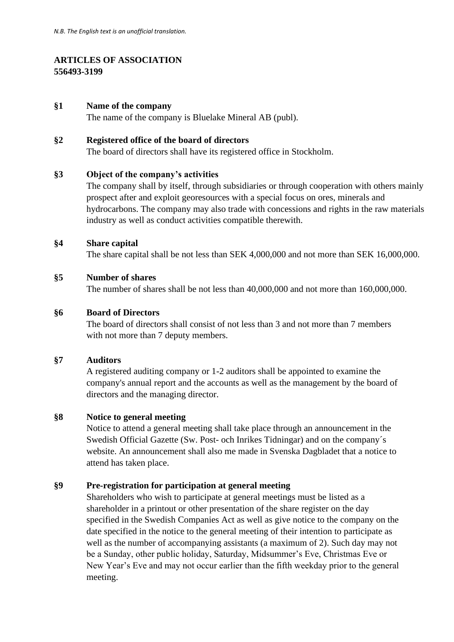# **ARTICLES OF ASSOCIATION 556493-3199**

## **§1 Name of the company**

The name of the company is Bluelake Mineral AB (publ).

## **§2 Registered office of the board of directors**

The board of directors shall have its registered office in Stockholm.

## **§3 Object of the company's activities**

The company shall by itself, through subsidiaries or through cooperation with others mainly prospect after and exploit georesources with a special focus on ores, minerals and hydrocarbons. The company may also trade with concessions and rights in the raw materials industry as well as conduct activities compatible therewith.

### **§4 Share capital**

The share capital shall be not less than SEK 4,000,000 and not more than SEK 16,000,000.

### **§5 Number of shares**

The number of shares shall be not less than 40,000,000 and not more than 160,000,000.

## **§6 Board of Directors**

The board of directors shall consist of not less than 3 and not more than 7 members with not more than 7 deputy members.

#### **§7 Auditors**

A registered auditing company or 1-2 auditors shall be appointed to examine the company's annual report and the accounts as well as the management by the board of directors and the managing director.

### **§8 Notice to general meeting**

Notice to attend a general meeting shall take place through an announcement in the Swedish Official Gazette (Sw. Post- och Inrikes Tidningar) and on the company´s website. An announcement shall also me made in Svenska Dagbladet that a notice to attend has taken place.

## **§9 Pre-registration for participation at general meeting**

Shareholders who wish to participate at general meetings must be listed as a shareholder in a printout or other presentation of the share register on the day specified in the Swedish Companies Act as well as give notice to the company on the date specified in the notice to the general meeting of their intention to participate as well as the number of accompanying assistants (a maximum of 2). Such day may not be a Sunday, other public holiday, Saturday, Midsummer's Eve, Christmas Eve or New Year's Eve and may not occur earlier than the fifth weekday prior to the general meeting.